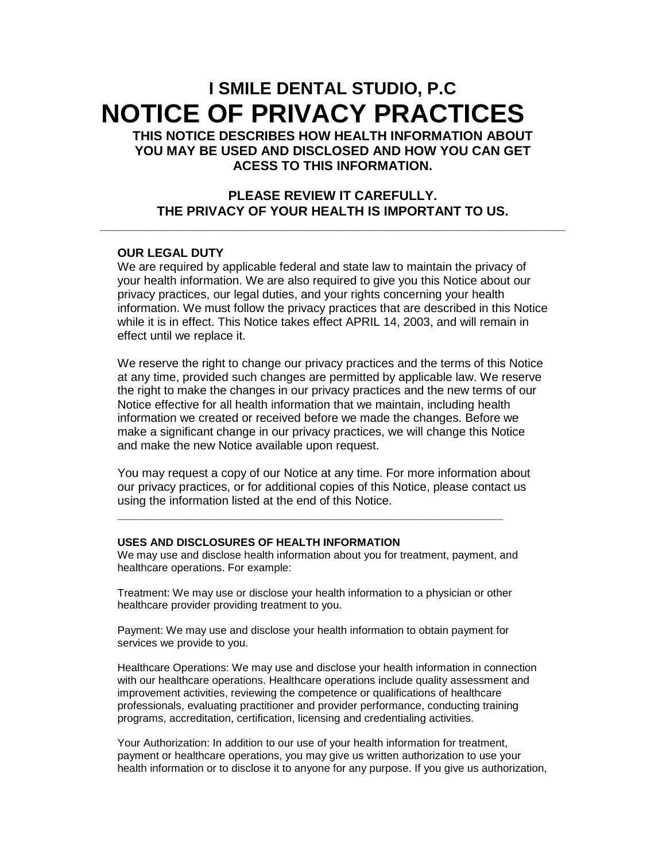# **I SMILE DENTAL STUDIO, P.C NOTICE OF PRIVACY PRACTICES**

**THIS NOTICE DESCRIBES HOW HEALTH INFORMATION ABOUT YOU MAY BE USED AND DISCLOSED AND HOW YOU CAN GET ACESS TO THIS INFORMATION.**

## **PLEASE REVIEW IT CAREFULLY. THE PRIVACY OF YOUR HEALTH IS IMPORTANT TO US.**

**\_\_\_\_\_\_\_\_\_\_\_\_\_\_\_\_\_\_\_\_\_\_\_\_\_\_\_\_\_\_\_\_\_\_\_\_\_\_\_\_\_\_\_\_\_\_\_\_\_\_\_\_\_\_\_\_\_\_\_\_\_\_\_\_\_\_\_\_\_\_**

## **OUR LEGAL DUTY**

We are required by applicable federal and state law to maintain the privacy of your health information. We are also required to give you this Notice about our privacy practices, our legal duties, and your rights concerning your health information. We must follow the privacy practices that are described in this Notice while it is in effect. This Notice takes effect APRIL 14, 2003, and will remain in effect until we replace it.

We reserve the right to change our privacy practices and the terms of this Notice at any time, provided such changes are permitted by applicable law. We reserve the right to make the changes in our privacy practices and the new terms of our Notice effective for all health information that we maintain, including health information we created or received before we made the changes. Before we make a significant change in our privacy practices, we will change this Notice and make the new Notice available upon request.

You may request a copy of our Notice at any time. For more information about our privacy practices, or for additional copies of this Notice, please contact us using the information listed at the end of this Notice.

### **USES AND DISCLOSURES OF HEALTH INFORMATION**

We may use and disclose health information about you for treatment, payment, and healthcare operations. For example:

**\_\_\_\_\_\_\_\_\_\_\_\_\_\_\_\_\_\_\_\_\_\_\_\_\_\_\_\_\_\_\_\_\_\_\_\_\_\_\_\_\_\_\_\_\_\_\_\_\_\_\_\_\_\_\_\_\_\_**

Treatment: We may use or disclose your health information to a physician or other healthcare provider providing treatment to you.

Payment: We may use and disclose your health information to obtain payment for services we provide to you.

Healthcare Operations: We may use and disclose your health information in connection with our healthcare operations. Healthcare operations include quality assessment and improvement activities, reviewing the competence or qualifications of healthcare professionals, evaluating practitioner and provider performance, conducting training programs, accreditation, certification, licensing and credentialing activities.

Your Authorization: In addition to our use of your health information for treatment, payment or healthcare operations, you may give us written authorization to use your health information or to disclose it to anyone for any purpose. If you give us authorization,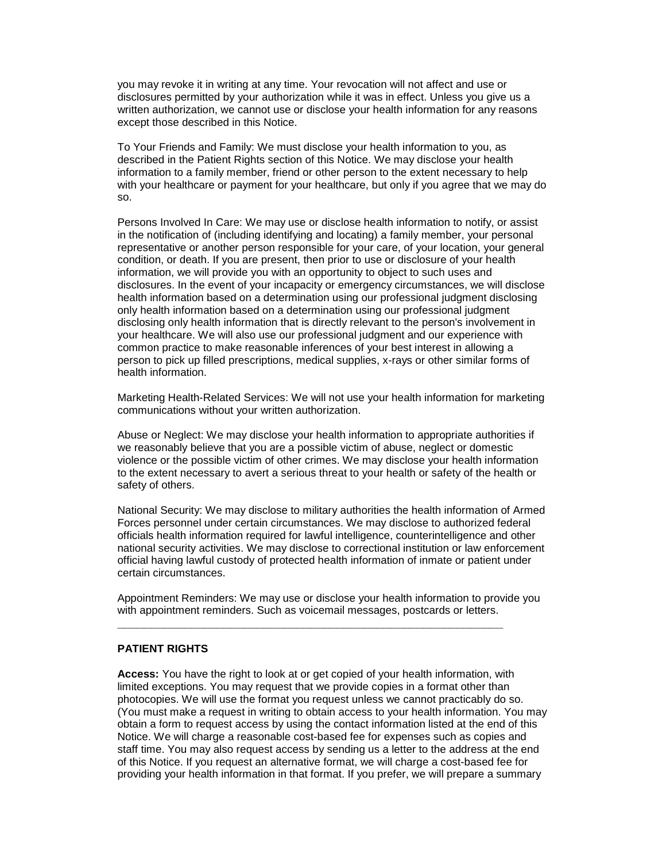you may revoke it in writing at any time. Your revocation will not affect and use or disclosures permitted by your authorization while it was in effect. Unless you give us a written authorization, we cannot use or disclose your health information for any reasons except those described in this Notice.

To Your Friends and Family: We must disclose your health information to you, as described in the Patient Rights section of this Notice. We may disclose your health information to a family member, friend or other person to the extent necessary to help with your healthcare or payment for your healthcare, but only if you agree that we may do so.

Persons Involved In Care: We may use or disclose health information to notify, or assist in the notification of (including identifying and locating) a family member, your personal representative or another person responsible for your care, of your location, your general condition, or death. If you are present, then prior to use or disclosure of your health information, we will provide you with an opportunity to object to such uses and disclosures. In the event of your incapacity or emergency circumstances, we will disclose health information based on a determination using our professional judgment disclosing only health information based on a determination using our professional judgment disclosing only health information that is directly relevant to the person's involvement in your healthcare. We will also use our professional judgment and our experience with common practice to make reasonable inferences of your best interest in allowing a person to pick up filled prescriptions, medical supplies, x-rays or other similar forms of health information.

Marketing Health-Related Services: We will not use your health information for marketing communications without your written authorization.

Abuse or Neglect: We may disclose your health information to appropriate authorities if we reasonably believe that you are a possible victim of abuse, neglect or domestic violence or the possible victim of other crimes. We may disclose your health information to the extent necessary to avert a serious threat to your health or safety of the health or safety of others.

National Security: We may disclose to military authorities the health information of Armed Forces personnel under certain circumstances. We may disclose to authorized federal officials health information required for lawful intelligence, counterintelligence and other national security activities. We may disclose to correctional institution or law enforcement official having lawful custody of protected health information of inmate or patient under certain circumstances.

Appointment Reminders: We may use or disclose your health information to provide you with appointment reminders. Such as voicemail messages, postcards or letters.

**\_\_\_\_\_\_\_\_\_\_\_\_\_\_\_\_\_\_\_\_\_\_\_\_\_\_\_\_\_\_\_\_\_\_\_\_\_\_\_\_\_\_\_\_\_\_\_\_\_\_\_\_\_\_\_\_\_\_**

#### **PATIENT RIGHTS**

**Access:** You have the right to look at or get copied of your health information, with limited exceptions. You may request that we provide copies in a format other than photocopies. We will use the format you request unless we cannot practicably do so. (You must make a request in writing to obtain access to your health information. You may obtain a form to request access by using the contact information listed at the end of this Notice. We will charge a reasonable cost-based fee for expenses such as copies and staff time. You may also request access by sending us a letter to the address at the end of this Notice. If you request an alternative format, we will charge a cost-based fee for providing your health information in that format. If you prefer, we will prepare a summary